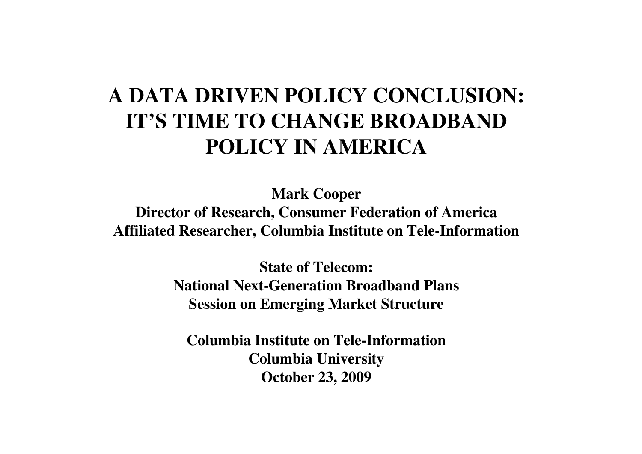## **A DATA DRIVEN POLICY CONCLUSION:IT'S TIME TO CHANGE BROADBAND POLICY IN AMERICA**

**Mark Cooper Director of Research, Consumer Federation of AmericaAffiliated Researcher, Columbia Institute on Tele-Information**

> **State of Telecom:National Next-Generation Broadband PlansSession on Emerging Market Structure**

**Columbia Institute on Tele-InformationColumbia UniversityOctober 23, 2009**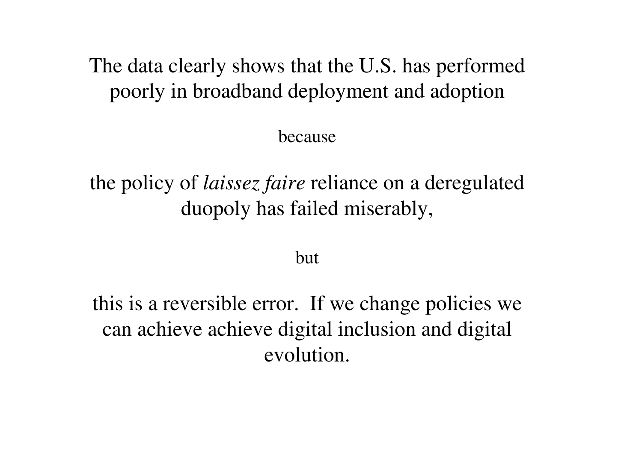The data clearly shows that the U.S. has performed poorly in broadband deployment and adoption

because

the policy of *laissez faire* reliance on a deregulated duopoly has failed miserably,

but

this is a reversible error. If we change policies we can achieve achieve digital inclusion and digital evolution.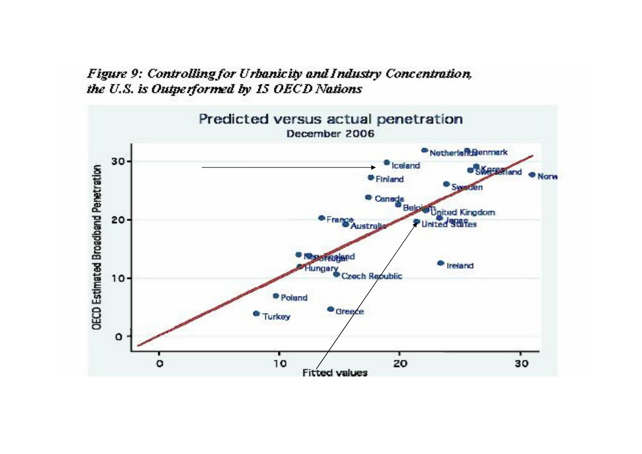## Figure 9: Controlling for Urbanicity and Industry Concentration, the U.S. is Outperformed by 15 OECD Nations

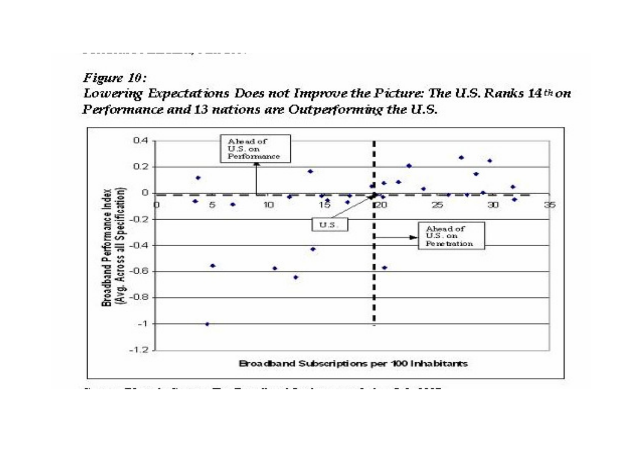## Figure 10:

Lowering Expectations Does not Improve the Picture: The U.S. Ranks 14th on Performance and 13 nations are Outperforming the U.S.

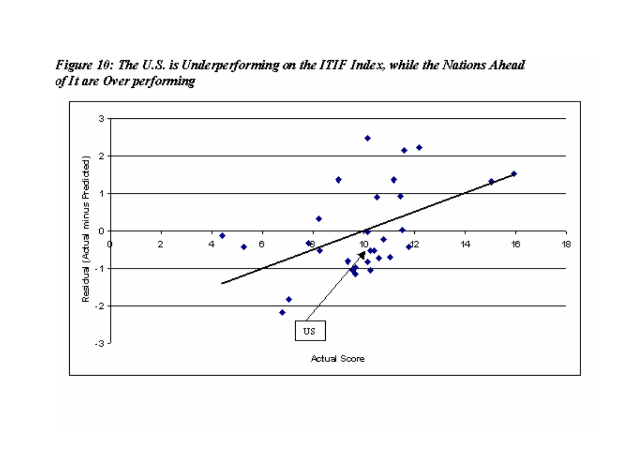Figure 10: The U.S. is Underperforming on the ITIF Index, while the Nations Ahead of It are Over performing

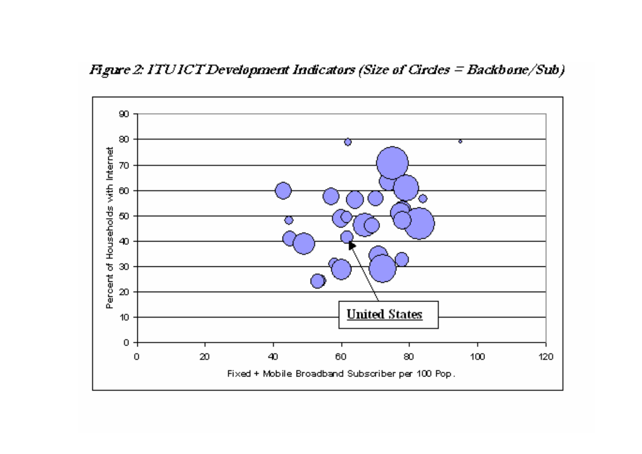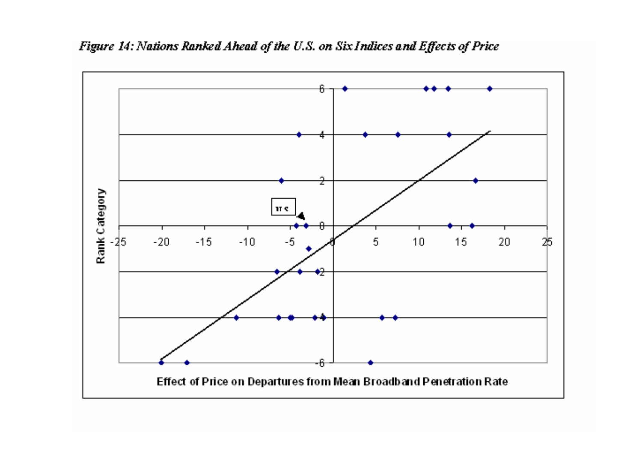

Figure 14: Nations Ranked Ahead of the U.S. on Six Indices and Effects of Price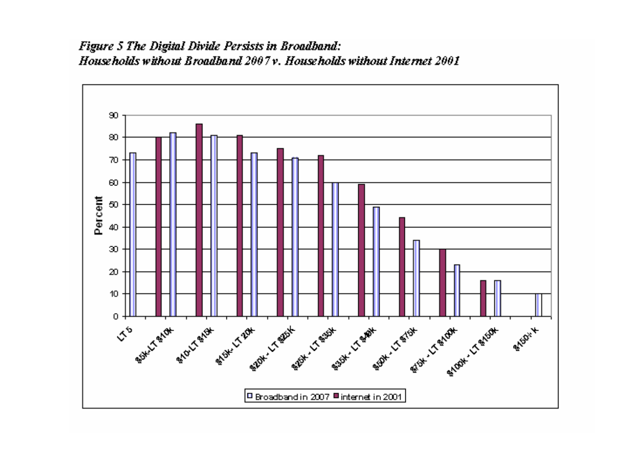

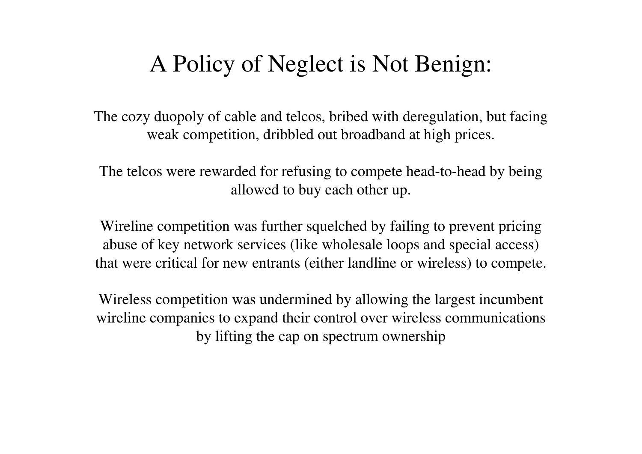## A Policy of Neglect is Not Benign:

The cozy duopoly of cable and telcos, bribed with deregulation, but facing weak competition, dribbled out broadband at high prices.

The telcos were rewarded for refusing to compete head-to-head by being allowed to buy each other up.

Wireline competition was further squelched by failing to prevent pricing abuse of key network services (like wholesale loops and special access) that were critical for new entrants (either landline or wireless) to compete.

Wireless competition was undermined by allowing the largest incumbent wireline companies to expand their control over wireless communications by lifting the cap on spectrum ownership